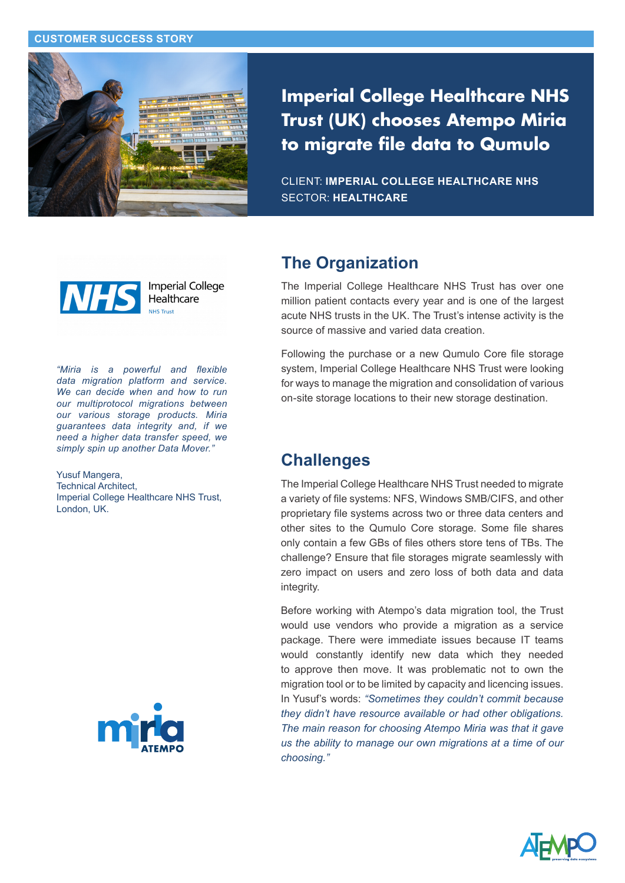#### **CUSTOMER SUCCESS STORY**



**Imperial College Healthcare NHS Trust (UK) chooses Atempo Miria to migrate file data to Qumulo**

CLIENT: **IMPERIAL COLLEGE HEALTHCARE NHS** SECTOR: **HEALTHCARE**



**Imperial College** Healthcare NILIC Truck

*"Miria is a powerful and flexible data migration platform and service. We can decide when and how to run our multiprotocol migrations between our various storage products. Miria guarantees data integrity and, if we need a higher data transfer speed, we simply spin up another Data Mover."* 

Yusuf Mangera, Technical Architect, Imperial College Healthcare NHS Trust, London, UK.



### **The Organization**

The Imperial College Healthcare NHS Trust has over one million patient contacts every year and is one of the largest acute NHS trusts in the UK. The Trust's intense activity is the source of massive and varied data creation.

Following the purchase or a new Qumulo Core file storage system, Imperial College Healthcare NHS Trust were looking for ways to manage the migration and consolidation of various on-site storage locations to their new storage destination.

## **Challenges**

The Imperial College Healthcare NHS Trust needed to migrate a variety of file systems: NFS, Windows SMB/CIFS, and other proprietary file systems across two or three data centers and other sites to the Qumulo Core storage. Some file shares only contain a few GBs of files others store tens of TBs. The challenge? Ensure that file storages migrate seamlessly with zero impact on users and zero loss of both data and data integrity.

Before working with Atempo's data migration tool, the Trust would use vendors who provide a migration as a service package. There were immediate issues because IT teams would constantly identify new data which they needed to approve then move. It was problematic not to own the migration tool or to be limited by capacity and licencing issues. In Yusuf's words: *"Sometimes they couldn't commit because they didn't have resource available or had other obligations. The main reason for choosing Atempo Miria was that it gave us the ability to manage our own migrations at a time of our choosing."*